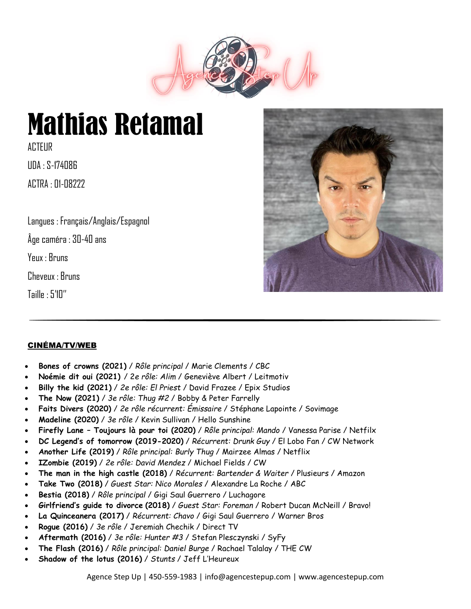

# Mathias Retamal

**ACTEUR** UDA : S-174086

 $ATTRA :  $\Pi1 - \Pi8777$$ 

Langues : Français/Anglais/Espagnol

Âge caméra : 30-40 ans

Yeux : Bruns

Cheveux : Bruns

Taille : 5'10''



# CINÉMA/TV/WEB

- **Bones of crowns (2021)** / *Rôle principal* / Marie Clements / CBC
- **Noémie dit oui (2021)** / 2*e rôle: Alim* / Geneviève Albert / Leitmotiv
- **Billy the kid (2021)** / *2e rôle: El Priest* / David Frazee / Epix Studios
- **The Now (2021)** / *3e rôle: Thug #2* / Bobby & Peter Farrelly
- **Faits Divers (2020)** / *2e rôle récurrent: Émissaire* / Stéphane Lapointe / Sovimage
- **Madeline (2020)** / *3e rôle* / Kevin Sullivan / Hello Sunshine
- **Firefly Lane – Toujours là pour toi (2020)** / *Rôle principal: Mando* / Vanessa Parise / Netfilx
- **DC Legend's of tomorrow (2019-2020)** / *Récurrent: Drunk Guy* / El Lobo Fan / CW Network
- **Another Life (2019)** / *Rôle principal: Burly Thug* / Mairzee Almas / Netflix
- **IZombie (2019)** / *2e rôle: David Mendez* / Michael Fields / CW
- **The man in the high castle (2018)** / *Récurrent: Bartender & Waiter* / Plusieurs / Amazon
- **Take Two (2018)** / *Guest Star: Nico Morales* / Alexandre La Roche / ABC
- **Bestia (2018)** / *Rôle principal* / Gigi Saul Guerrero / Luchagore
- **Girlfriend's guide to divorce (2018)** / *Guest Star: Foreman* / Robert Ducan McNeill / Bravo!
- **La Quinceanera (2017)** / *Récurrent: Chavo* / Gigi Saul Guerrero / Warner Bros
- **Rogue (2016)** / *3e rôle* / Jeremiah Chechik / Direct TV
- **Aftermath (2016)** / *3e rôle: Hunter #3* / Stefan Plesczynski / SyFy
- **The Flash (2016)** / *Rôle principal: Daniel Burge* / Rachael Talalay / THE CW
- **Shadow of the lotus (2016)** / *Stunts* / Jeff L'Heureux